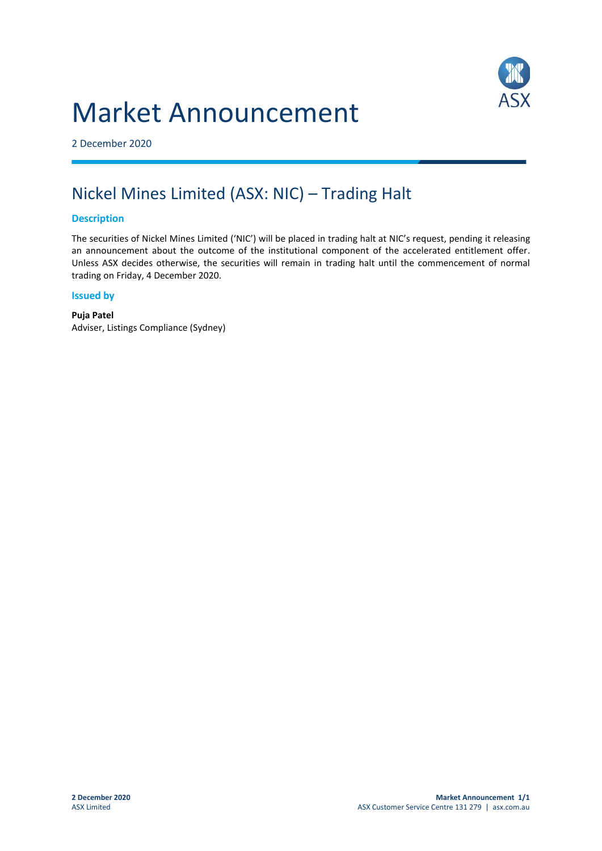# Market Announcement



2 December 2020

## Nickel Mines Limited (ASX: NIC) – Trading Halt

#### **Description**

The securities of Nickel Mines Limited ('NIC') will be placed in trading halt at NIC's request, pending it releasing an announcement about the outcome of the institutional component of the accelerated entitlement offer. Unless ASX decides otherwise, the securities will remain in trading halt until the commencement of normal trading on Friday, 4 December 2020.

#### **Issued by**

**Puja Patel** Adviser, Listings Compliance (Sydney)